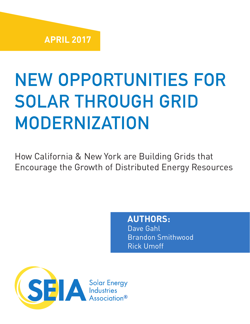# NEW OPPORTUNITIES FOR SOLAR THROUGH GRID MODERNIZATION

How California & New York are Building Grids that Encourage the Growth of Distributed Energy Resources

## **AUTHORS:**

Dave Gahl Brandon Smithwood Rick Umoff

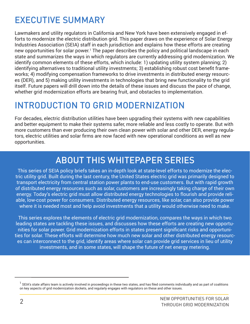## EXECUTIVE SUMMARY

Lawmakers and utility regulators in California and New York have been extensively engaged in efforts to modernize the electric distribution grid. This paper draws on the experience of Solar Energy Industries Association (SEIA) staff in each jurisdiction and explains how these efforts are creating new opportunities for solar power.<sup>1</sup> The paper describes the policy and political landscape in each state and summarizes the ways in which regulators are currently addressing grid modernization. We identify common elements of these efforts, which include: 1) updating utility system planning; 2) identifying alternatives to traditional utility investments; 3) establishing robust cost benefit frameworks; 4) modifying compensation frameworks to drive investments in distributed energy resources (DER), and 5) making utility investments in technologies that bring new functionality to the grid itself. Future papers will drill down into the details of these issues and discuss the pace of change, whether grid modernization efforts are bearing fruit, and obstacles to implementation.

## INTRODUCTION TO GRID MODERNIZATION

For decades, electric distribution utilities have been upgrading their systems with new capabilities and better equipment to make their systems safer, more reliable and less costly to operate. But with more customers than ever producing their own clean power with solar and other DER, energy regulators, electric utilities and solar firms are now faced with new operational conditions as well as new opportunities.

## ABOUT THIS WHITEPAPER SERIES

This series of SEIA policy briefs takes an in-depth look at state-level efforts to modernize the electric utility grid. Built during the last century, the United States electric grid was primarily designed to transport electricity from central station power plants to end-use customers. But with rapid growth of distributed energy resources such as solar, customers are increasingly taking charge of their own energy. Today's electric grid must allow distributed energy technologies to flourish and provide reliable, low-cost power for consumers. Distributed energy resources, like solar, can also provide power where it is needed most and help avoid investments that a utility would otherwise need to make.

This series explores the elements of electric grid modernization, compares the ways in which two leading states are tackling these issues, and discusses how these efforts are creating new opportunities for solar power. Grid modernization efforts in states present significant risks and opportunities for solar. These efforts will determine how much new solar and other distributed energy resources can interconnect to the grid, identify areas where solar can provide grid services in lieu of utility investments, and in some states, will shape the future of net energy metering.

 $^{\rm 1}$  SEIA's state affairs team is actively involved in proceedings in these two states, and has filed comments individually and as part of coalitions on key aspects of grid modernization dockets, and regularly engages with regulators on these and other issues.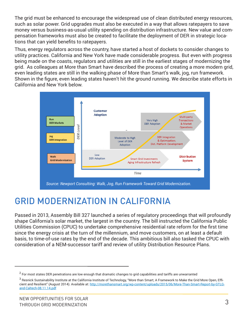The grid must be enhanced to encourage the widespread use of clean distributed energy resources, such as solar power. Grid upgrades must also be executed in a way that allows ratepayers to save money versus business-as-usual utility spending on distribution infrastructure. New value and compensation frameworks must also be created to facilitate the deployment of DER in strategic locations that can yield benefits to ratepayers.

Thus, energy regulators across the country, have started a host of dockets to consider changes to utility practices. California and New York have made considerable progress. But even with progress being made on the coasts, regulators and utilities are still in the earliest stages of modernizing the grid. As colleagues at More than Smart have described the process of creating a more modern grid, even leading states are still in the walking phase of More than Smart's walk, jog, run framework. Shown in the figure, even leading states haven't hit the ground running. We describe state efforts in California and New York below.



## GRID MODERNIZATION IN CALIFORNIA

Passed in 2013, Assembly Bill 327 launched a series of regulatory proceedings that will profoundly shape California's solar market, the largest in the country. The bill instructed the California Public Utilities Commission (CPUC) to undertake comprehensive residential rate reform for the first time since the energy crisis at the turn of the millennium, and move customers, on at least a default basis, to time-of-use rates by the end of the decade. This ambitious bill also tasked the CPUC with consideration of a NEM-successor tariff and review of utility Distribution Resource Plans.

 $^2$  For most states DER penetrations are low enough that dramatic changes to grid capabilities and tariffs are unwarranted

 $^3$  Resnick Sustainability Institute at the California Institute of Technology, "More than Smart; A Framework to Make the Grid More Open, Efficient and Resilient" (August 2014). Available at: http://morethansmart.org/wp-content/uploads/2015/06/More-Than-Smart-Report-by-GTLGand-Caltech-08.11.14.pdf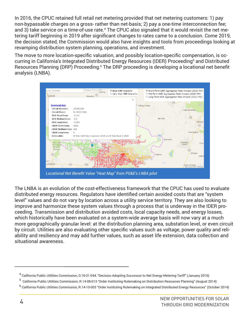In 2016, the CPUC retained full retail net metering provided that net metering customers: 1) pay non-bypassable charges on a gross- rather than net-basis; 2) pay a one-time interconnection fee; and 3) take service on a time-of-use rate.<sup>4</sup> The CPUC also signaled that it would revisit the net metering tariff beginning in 2019 after significant changes to rates came to a conclusion. Come 2019, the decision stated, the Commission would also have insights and tools from proceedings looking at revamping distribution system planning, operations, and investment.

The move to more location-specific valuation, and possibly location-specific compensation, is occurring in California's Integrated Distributed Energy Resources (IDER) Proceeding<sup>5</sup> and Distributed Resources Planning (DRP) Proceeding.<sup>6</sup> The DRP proceeding is developing a locational net benefit analysis (LNBA).



The LNBA is an evolution of the cost-effectiveness framework that the CPUC has used to evaluate distributed energy resources. Regulators have identified certain avoided costs that are "system level" values and do not vary by location across a utility service territory. They are also looking to improve and harmonize these system values through a process that is underway in the IDER proceeding. Transmission and distribution avoided costs, local capacity needs, and energy losses, which historically have been evaluated on a system-wide average basis will now vary at a much more geographically granular level: at the distribution planning area, substation level, or even circuit by circuit. Utilities are also evaluating other specific values such as voltage, power quality and reliability and resiliency and may add further values, such as asset life extension, data collection and situational awareness.

<sup>&</sup>lt;sup>4</sup> California Public Utilities Commission, D.16-01-044, "Decision Adopting Successor to Net Energy Metering Tariff" (January 2016)

<sup>&</sup>lt;sup>5</sup> California Public Utilities Commission, R.14-08-013 "Order Instituting Rulemaking on Distribution Resources Planning" (August 2014)

 $^6$  California Public Utilities Commission, R.14-10-003 "Order Instituting Rulemaking on Integrated Distributed Energy Resources" (October 2014)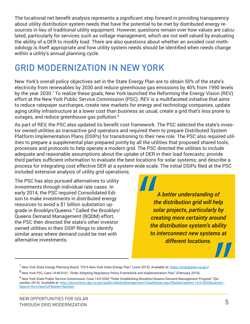The locational net benefit analysis represents a significant step forward in providing transparency about utility distribution system needs that have the potential to be met by distributed energy resources in lieu of traditional utility equipment. However, questions remain over how values are calculated, particularly for services such as voltage management, which are not well valued by evaluating the ability of a DER to modify load. There are also questions about whether an avoided cost methodology is itself appropriate and how utility system needs should be identified when needs change within a utility's annual planning cycle.

## GRID MODERNIZATION IN NEW YORK

New York's overall policy objectives set in the State Energy Plan are to obtain 50% of the state's electricity from renewables by 2030 and reduce greenhouse gas emissions by 40% from 1990 levels by the year 2030.<sup>7</sup> To realize these goals, New York launched the Reforming the Energy Vision (REV) effort at the New York Public Service Commission (PSC). REV is a multifaceted initiative that aims to reduce ratepayer surcharges, create new markets for energy and technology companies, update aging utility infrastructure at a lower cost than business as usual, create a grid that's less prone to outages, and reduce greenhouse gas pollution. $^8$ 

As part of REV, the PSC also updated its benefit cost framework. The PSC selected the state's investor owned utilities as transactive grid operators and required them to prepare Distributed System Platform Implementation Plans (DSIPs) for transitioning to their new role. The PSC also required utilities to prepare a supplemental plan prepared jointly by all the utilities that proposed shared tools, processes and protocols to help operate a modern grid. The PSC directed the utilities to include adequate and reasonable assumptions about the uptake of DER in their load forecasts; provide third parties sufficient information to evaluate the best locations for solar systems; and describe a process for integrating cost effective DER at a system-wide scale. The initial DSIPs filed at the PSC included extensive analysis of utility grid operations.

The PSC has also pursued alternatives to utility investments through individual rate cases. In early 2014, the PSC required Consolidated Edison to make investments in distributed energy resources to avoid a \$1 billion substation upgrade in Brooklyn/Queens.9 Called the Brooklyn/ Queens Demand Management (BQDM) effort, the PSC then directed the state's other investor owned utilities in their DSIP filings to identify similar areas where demand could be met with alternative investments.

*A better understanding of the distribution grid will help solar projects, particularly by creating more certainty around the distribution system's ability to interconnect new systems at different locations.*

<sup>&</sup>lt;sup>7</sup> New York State Energy Planning Board, "2015 New York State Energy Plan" (June 2015). Available at: <u>https://energyplan.ny.gov</u>/

<sup>&</sup>lt;sup>8</sup> New York PSC, Case 14-M-0101, "Order Adopting Regulatory Policy Framework and Implementation Plan" (February 2016).

<sup>&</sup>lt;sup>9</sup> New York State Public Service Commission, Case 14-E-0302 "Order Establishing Brooklyn/Queens Demand Management Program" (December 2014). Available at: http://documents.dps.ny.gov/public/MatterManagement/CaseMaster.aspx?MatterCaseNo=14-E-0302&submit=-Search+for+Case%2FMatter+Number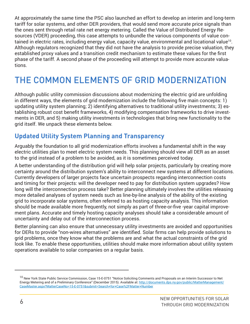At approximately the same time the PSC also launched an effort to develop an interim and long-term tariff for solar systems, and other DER providers, that would send more accurate price signals than the ones sent through retail rate net energy metering. Called the Value of Distributed Energy Resources (VDER) proceeding, this case attempts to unbundle the various components of value contained in electric rates, including energy value, capacity value, environmental and locational value<sup>10</sup>. Although regulators recognized that they did not have the analysis to provide precise valuation, they established proxy values and a transition credit mechanism to estimate these values for the first phase of the tariff. A second phase of the proceeding will attempt to provide more accurate valuations.

## THE COMMON ELEMENTS OF GRID MODERNIZATION

Although public utility commission discussions about modernizing the electric grid are unfolding in different ways, the elements of grid modernization include the following five main concepts: 1) updating utility system planning; 2) identifying alternatives to traditional utility investments; 3) establishing robust cost benefit frameworks, 4) modifying compensation frameworks to drive investments in DER, and 5) making utility investments in technologies that bring new functionality to the grid itself. We unpack these elements below.

#### **Updated Utility System Planning and Transparency**

Arguably the foundation to all grid modernization efforts involves a fundamental shift in the way electric utilities plan to meet electric system needs. This planning should view all DER as an asset to the grid instead of a problem to be avoided, as it is sometimes perceived today.

A better understanding of the distribution grid will help solar projects, particularly by creating more certainty around the distribution system's ability to interconnect new systems at different locations. Currently developers of larger projects face uncertain prospects regarding interconnection costs and timing for their projects: will the developer need to pay for distribution system upgrades? How long will the interconnection process take? Better planning ultimately involves the utilities releasing more detailed analyses of system needs such as line-by-line analysis of the ability of the existing grid to incorporate solar systems, often referred to as hosting capacity analysis. This information should be made available more frequently, not simply as part of three-or-five -year capital improvement plans. Accurate and timely hosting capacity analyses should take a considerable amount of uncertainty and delay out of the interconnection process.

Better planning can also ensure that unnecessary utility investments are avoided and opportunities for DERs to provide "non-wires alternatives" are identified. Solar firms can help provide solutions to grid problems, once they know what the problems are and what the actual constraints of the grid look like. To enable these opportunities, utilities should make more information about utility system operations available to solar companies on a regular basis.

<sup>&</sup>lt;sup>10</sup> New York State Public Service Commission, Case 15-E-0751 "Notice Soliciting Comments and Proposals on an Interim Successor to Net Energy Metering and of a Preliminary Conference" (December 2015). Available at: http://documents.dps.ny.gov/public/MatterManagement/ CaseMaster.aspx?MatterCaseNo=15-E-0751&submit=Search+for+Case%2FMatter+Number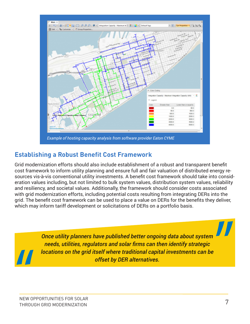

#### **Establishing a Robust Benefit Cost Framework**

Grid modernization efforts should also include establishment of a robust and transparent benefit cost framework to inform utility planning and ensure full and fair valuation of distributed energy resources vis-à-vis conventional utility investments. A benefit cost framework should take into consideration values including, but not limited to bulk system values, distribution system values, reliability and resiliency, and societal values. Additionally, the framework should consider costs associated with grid modernization efforts, including potential costs resulting from integrating DERs into the grid. The benefit cost framework can be used to place a value on DERs for the benefits they deliver, which may inform tariff development or solicitations of DERs on a portfolio basis.

> *Once utility planners have published better ongoing data about system needs, utilities, regulators and solar firms can then identify strategic locations on the grid itself where traditional capital investments can be offset by DER alternatives.*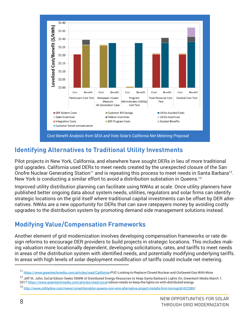

#### **Identifying Alternatives to Traditional Utility Investments**

Pilot projects in New York, California, and elsewhere have sought DERs in lieu of more traditional grid upgrades. California used DERs to meet needs created by the unexpected closure of the San Onofre Nuclear Generating Station<sup>11</sup> and is repeating this process to meet needs in Santa Barbara<sup>12</sup>. New York is conducting a similar effort to avoid a distribution substation in Queens.<sup>13</sup>

Improved utility distribution planning can facilitate using NWAs at scale. Once utility planners have published better ongoing data about system needs, utilities, regulators and solar firms can identify strategic locations on the grid itself where traditional capital investments can be offset by DER alternatives. NWAs are a new opportunity for DERs that can save ratepayers money by avoiding costly upgrades to the distribution system by promoting demand side management solutions instead.

#### **Modifying Value/Compensation Frameworks**

Another element of grid modernization involves developing compensation frameworks or rate design reforms to encourage DER providers to build projects in strategic locations. This includes making valuation more locationally dependent, developing solicitations, rates, and tariffs to meet needs in areas of the distribution system with identified needs, and potentially modifying underlying tariffs. In areas with high levels of solar deployment modification of tariffs could include net metering.

<sup>11</sup> https://www.greentechmedia.com/articles/read/California-PUC-Looking-to-Replace-Closed-Nuclear-and-Outlawed-Gas-With-More

<sup>&</sup>lt;sup>12</sup> Jeff St. John, SoCal Edison Seeks 55MW of Distributed Energy Resources to Keep Santa Barbara's Lights On, Greentech Media March 7, 2017 https://www.greentechmedia.com/articles/read/socal-edison-needs-to-keep-the-lights-on-with-distributed-energy

<sup>13</sup> http://www.utilitydive.com/news/coned-brooklyn-queens-non-wire-alternative-project-installs-first-microgrid/432380/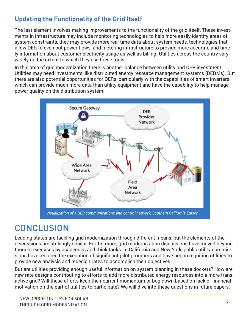#### **Updating the Functionality of the Grid Itself**

The last element involves making improvements to the functionality of the grid itself. These investments in infrastructure may include monitoring technologies to help more easily identify areas of system constraints, they may provide more real-time data about system needs, technologies that allow DER to even out power flows, and metering infrastructure to provide more accurate and timely information about customer electricity usage as well as billing. Utilities across the country vary widely on the extent to which they use these tools.

In this area of grid modernization there is another balance between utility and DER investment. Utilities may need investments, like distributed energy resource management systems (DERMs). But there are also potential opportunities for DERs, particularly with the capabilities of smart inverters which can provide much more data than utility equipment and have the capability to help manage power quality on the distribution system.



*Visualization of a DER communications and control network, Southern California Edison*

## **CONCLUSION**

Leading states are tackling grid modernization through different means, but the elements of the discussions are strikingly similar. Furthermore, grid modernization discussions have moved beyond thought exercises by academics and think tanks. In California and New York, public utility commissions have required the execution of significant pilot programs and have begun requiring utilities to provide new analysis and redesign rates to accomplish their objectives.

But are utilities providing enough useful information on system planning in these dockets? How are new rate designs contributing to efforts to add more distributed energy resources into a more transactive grid? Will these efforts keep their current momentum or bog down based on lack of financial motivation on the part of utilities to participate? We will dive into these questions in future papers.